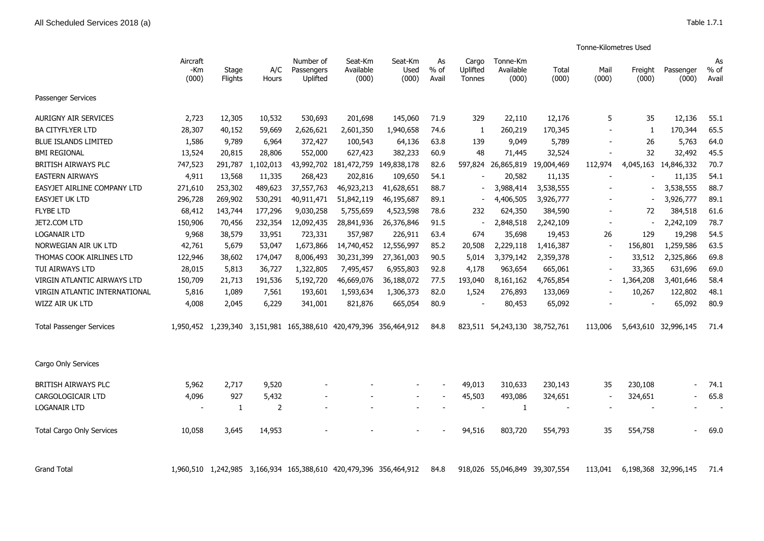|                                  |                          |                         |                |                                                                   |                                    |                          |                          |                             |                                |                | Tonne-Kilometres Used |                  |                      |                       |
|----------------------------------|--------------------------|-------------------------|----------------|-------------------------------------------------------------------|------------------------------------|--------------------------|--------------------------|-----------------------------|--------------------------------|----------------|-----------------------|------------------|----------------------|-----------------------|
|                                  | Aircraft<br>-Km<br>(000) | Stage<br><b>Flights</b> | A/C<br>Hours   | Number of<br>Passengers<br>Uplifted                               | Seat-Km<br>Available<br>(000)      | Seat-Km<br>Used<br>(000) | As<br>% of<br>Avail      | Cargo<br>Uplifted<br>Tonnes | Tonne-Km<br>Available<br>(000) | Total<br>(000) | Mail<br>(000)         | Freight<br>(000) | Passenger<br>(000)   | As<br>$%$ of<br>Avail |
| Passenger Services               |                          |                         |                |                                                                   |                                    |                          |                          |                             |                                |                |                       |                  |                      |                       |
| <b>AURIGNY AIR SERVICES</b>      | 2,723                    | 12,305                  | 10,532         | 530,693                                                           | 201,698                            | 145,060                  | 71.9                     | 329                         | 22,110                         | 12,176         | 5                     | 35               | 12,136               | 55.1                  |
| <b>BA CITYFLYER LTD</b>          | 28,307                   | 40,152                  | 59,669         | 2,626,621                                                         | 2,601,350                          | 1,940,658                | 74.6                     | 1                           | 260,219                        | 170,345        |                       | -1               | 170,344              | 65.5                  |
| <b>BLUE ISLANDS LIMITED</b>      | 1,586                    | 9,789                   | 6,964          | 372,427                                                           | 100,543                            | 64,136                   | 63.8                     | 139                         | 9,049                          | 5,789          |                       | 26               | 5,763                | 64.0                  |
| <b>BMI REGIONAL</b>              | 13,524                   | 20,815                  | 28,806         | 552,000                                                           | 627,423                            | 382,233                  | 60.9                     | 48                          | 71,445                         | 32,524         |                       | 32               | 32,492               | 45.5                  |
| BRITISH AIRWAYS PLC              | 747,523                  | 291,787                 | 1,102,013      |                                                                   | 43,992,702 181,472,759 149,838,178 |                          | 82.6                     | 597,824                     | 26,865,819                     | 19,004,469     | 112,974               |                  | 4,045,163 14,846,332 | 70.7                  |
| <b>EASTERN AIRWAYS</b>           | 4,911                    | 13,568                  | 11,335         | 268,423                                                           | 202,816                            | 109,650                  | 54.1                     |                             | 20,582                         | 11,135         |                       |                  | 11,135               | 54.1                  |
| EASYJET AIRLINE COMPANY LTD      | 271,610                  | 253,302                 | 489,623        | 37,557,763                                                        | 46,923,213                         | 41,628,651               | 88.7                     |                             | 3,988,414                      | 3,538,555      |                       |                  | 3,538,555            | 88.7                  |
| <b>EASYJET UK LTD</b>            | 296,728                  | 269,902                 | 530,291        | 40,911,471                                                        | 51,842,119                         | 46,195,687               | 89.1                     |                             | 4,406,505                      | 3,926,777      |                       |                  | 3,926,777            | 89.1                  |
| <b>FLYBE LTD</b>                 | 68,412                   | 143,744                 | 177,296        | 9,030,258                                                         | 5,755,659                          | 4,523,598                | 78.6                     | 232                         | 624,350                        | 384,590        |                       | 72               | 384,518              | 61.6                  |
| JET2.COM LTD                     | 150,906                  | 70,456                  | 232,354        | 12,092,435                                                        | 28,841,936                         | 26,376,846               | 91.5                     |                             | 2,848,518                      | 2,242,109      |                       |                  | 2,242,109            | 78.7                  |
| <b>LOGANAIR LTD</b>              | 9,968                    | 38,579                  | 33,951         | 723,331                                                           | 357,987                            | 226,911                  | 63.4                     | 674                         | 35,698                         | 19,453         | 26                    | 129              | 19,298               | 54.5                  |
| NORWEGIAN AIR UK LTD             | 42,761                   | 5,679                   | 53,047         | 1,673,866                                                         | 14,740,452                         | 12,556,997               | 85.2                     | 20,508                      | 2,229,118                      | 1,416,387      |                       | 156,801          | 1,259,586            | 63.5                  |
| THOMAS COOK AIRLINES LTD         | 122,946                  | 38,602                  | 174,047        | 8,006,493                                                         | 30,231,399                         | 27,361,003               | 90.5                     | 5,014                       | 3,379,142                      | 2,359,378      |                       | 33,512           | 2,325,866            | 69.8                  |
| TUI AIRWAYS LTD                  | 28,015                   | 5,813                   | 36,727         | 1,322,805                                                         | 7,495,457                          | 6,955,803                | 92.8                     | 4,178                       | 963,654                        | 665,061        |                       | 33,365           | 631,696              | 69.0                  |
| VIRGIN ATLANTIC AIRWAYS LTD      | 150,709                  | 21,713                  | 191,536        | 5,192,720                                                         | 46,669,076                         | 36,188,072               | 77.5                     | 193,040                     | 8,161,162                      | 4,765,854      |                       | 1,364,208        | 3,401,646            | 58.4                  |
| VIRGIN ATLANTIC INTERNATIONAL    | 5,816                    | 1,089                   | 7,561          | 193,601                                                           | 1,593,634                          | 1,306,373                | 82.0                     | 1,524                       | 276,893                        | 133,069        |                       | 10,267           | 122,802              | 48.1                  |
| WIZZ AIR UK LTD                  | 4,008                    | 2,045                   | 6,229          | 341,001                                                           | 821,876                            | 665,054                  | 80.9                     |                             | 80,453                         | 65,092         |                       |                  | 65,092               | 80.9                  |
| <b>Total Passenger Services</b>  |                          |                         |                | 1,950,452 1,239,340 3,151,981 165,388,610 420,479,396 356,464,912 |                                    |                          | 84.8                     |                             | 823,511 54,243,130 38,752,761  |                | 113,006               |                  | 5,643,610 32,996,145 | 71.4                  |
| Cargo Only Services              |                          |                         |                |                                                                   |                                    |                          |                          |                             |                                |                |                       |                  |                      |                       |
| BRITISH AIRWAYS PLC              | 5,962                    | 2.717                   | 9,520          |                                                                   |                                    | $\overline{\phantom{a}}$ | $\overline{\phantom{a}}$ | 49,013                      | 310,633                        | 230,143        | 35                    | 230,108          | $\blacksquare$       | 74.1                  |
| CARGOLOGICAIR LTD                | 4,096                    | 927                     | 5,432          |                                                                   |                                    | $\overline{\phantom{a}}$ |                          | 45,503                      | 493,086                        | 324,651        |                       | 324,651          |                      | 65.8                  |
| <b>LOGANAIR LTD</b>              |                          | 1                       | $\overline{2}$ |                                                                   |                                    |                          |                          | $\overline{\phantom{a}}$    | 1                              |                |                       |                  |                      |                       |
| <b>Total Cargo Only Services</b> | 10,058                   | 3,645                   | 14,953         |                                                                   |                                    |                          |                          | 94,516                      | 803,720                        | 554,793        | 35                    | 554,758          | $\sim$               | 69.0                  |
| <b>Grand Total</b>               |                          |                         |                | 1,960,510 1,242,985 3,166,934 165,388,610 420,479,396 356,464,912 |                                    |                          | 84.8                     | 918.026                     | 55,046,849 39,307,554          |                | 113,041               |                  | 6,198,368 32,996,145 | 71.4                  |